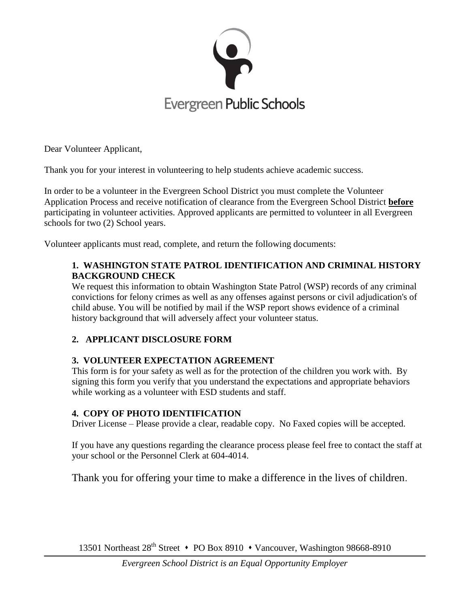

Dear Volunteer Applicant,

Thank you for your interest in volunteering to help students achieve academic success.

In order to be a volunteer in the Evergreen School District you must complete the Volunteer Application Process and receive notification of clearance from the Evergreen School District **before** participating in volunteer activities. Approved applicants are permitted to volunteer in all Evergreen schools for two (2) School years.

Volunteer applicants must read, complete, and return the following documents:

#### **1. WASHINGTON STATE PATROL IDENTIFICATION AND CRIMINAL HISTORY BACKGROUND CHECK**

We request this information to obtain Washington State Patrol (WSP) records of any criminal convictions for felony crimes as well as any offenses against persons or civil adjudication's of child abuse. You will be notified by mail if the WSP report shows evidence of a criminal history background that will adversely affect your volunteer status.

### **2. APPLICANT DISCLOSURE FORM**

#### **3. VOLUNTEER EXPECTATION AGREEMENT**

This form is for your safety as well as for the protection of the children you work with. By signing this form you verify that you understand the expectations and appropriate behaviors while working as a volunteer with ESD students and staff.

#### **4. COPY OF PHOTO IDENTIFICATION**

Driver License – Please provide a clear, readable copy. No Faxed copies will be accepted.

If you have any questions regarding the clearance process please feel free to contact the staff at your school or the Personnel Clerk at 604-4014.

Thank you for offering your time to make a difference in the lives of children.

13501 Northeast 28<sup>th</sup> Street • PO Box 8910 • Vancouver, Washington 98668-8910

*Evergreen School District is an Equal Opportunity Employer*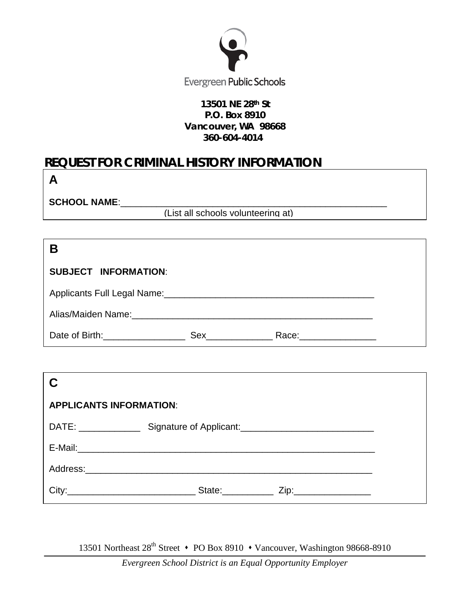

#### **13501 NE 28th St P.O. Box 8910 Vancouver, WA 98668 360-604-4014**

# **REQUEST FOR CRIMINAL HISTORY INFORMATION**

SCHOOL NAME:

aa**A**

(List all schools volunteering at)

| E                                                                                                    |     |                        |  |
|------------------------------------------------------------------------------------------------------|-----|------------------------|--|
| <b>SUBJECT INFORMATION:</b>                                                                          |     |                        |  |
|                                                                                                      |     |                        |  |
| Alias/Maiden Name: Alias Alias Antonio and Alias Alias Alias Alias Alias Alias Alias Alias Alias Ali |     |                        |  |
| Date of Birth: Date of Birth:                                                                        | Sex | Race: ________________ |  |

| <b>APPLICANTS INFORMATION:</b>                                                                                                                                                                                                 |                                                                                                                                                                                                                                                         |  |  |  |  |  |
|--------------------------------------------------------------------------------------------------------------------------------------------------------------------------------------------------------------------------------|---------------------------------------------------------------------------------------------------------------------------------------------------------------------------------------------------------------------------------------------------------|--|--|--|--|--|
|                                                                                                                                                                                                                                | DATE: Signature of Applicant: 2008 2010 2021 2022 2023 2024                                                                                                                                                                                             |  |  |  |  |  |
|                                                                                                                                                                                                                                |                                                                                                                                                                                                                                                         |  |  |  |  |  |
|                                                                                                                                                                                                                                |                                                                                                                                                                                                                                                         |  |  |  |  |  |
| City: the contract of the contract of the contract of the contract of the contract of the contract of the contract of the contract of the contract of the contract of the contract of the contract of the contract of the cont | State: The State of the State of the State of the State of the State of the State of the State of the State of the State of the State of the State of the State of the State of the State of the State of the State of the Sta<br>Zip:_________________ |  |  |  |  |  |

13501 Northeast 28<sup>th</sup> Street • PO Box 8910 • Vancouver, Washington 98668-8910

*Evergreen School District is an Equal Opportunity Employer*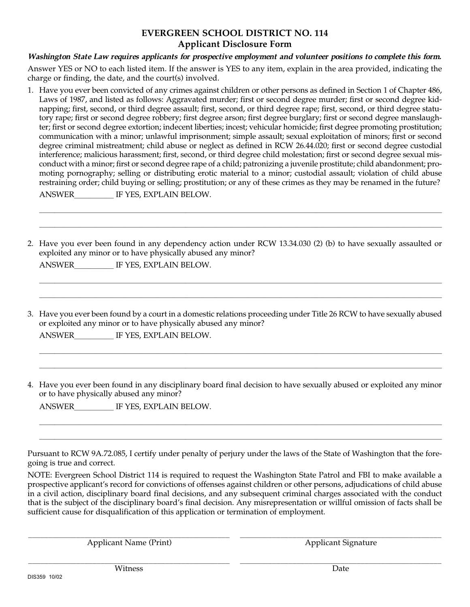#### **EVERGREEN SCHOOL DISTRICT NO. 114 Applicant Disclosure Form**

#### **Washington State Law requires applicants for prospective employment and volunteer positions to complete this form.**

Answer YES or NO to each listed item. If the answer is YES to any item, explain in the area provided, indicating the charge or finding, the date, and the court(s) involved.

1. Have you ever been convicted of any crimes against children or other persons as defined in Section 1 of Chapter 486, Laws of 1987, and listed as follows: Aggravated murder; first or second degree murder; first or second degree kidnapping; first, second, or third degree assault; first, second, or third degree rape; first, second, or third degree statutory rape; first or second degree robbery; first degree arson; first degree burglary; first or second degree manslaughter; first or second degree extortion; indecent liberties; incest; vehicular homicide; first degree promoting prostitution; communication with a minor; unlawful imprisonment; simple assault; sexual exploitation of minors; first or second degree criminal mistreatment; child abuse or neglect as defined in RCW 26.44.020; first or second degree custodial interference; malicious harassment; first, second, or third degree child molestation; first or second degree sexual misconduct with a minor; first or second degree rape of a child; patronizing a juvenile prostitute; child abandonment; promoting pornography; selling or distributing erotic material to a minor; custodial assault; violation of child abuse restraining order; child buying or selling; prostitution; or any of these crimes as they may be renamed in the future?

| ANSWER |  |  | IF YES, EXPLAIN BELOW. |  |  |  |
|--------|--|--|------------------------|--|--|--|
|--------|--|--|------------------------|--|--|--|

2. Have you ever been found in any dependency action under RCW 13.34.030 (2) (b) to have sexually assaulted or exploited any minor or to have physically abused any minor?

 $\_$  , and the set of the set of the set of the set of the set of the set of the set of the set of the set of the set of the set of the set of the set of the set of the set of the set of the set of the set of the set of th \_\_\_\_\_\_\_\_\_\_\_\_\_\_\_\_\_\_\_\_\_\_\_\_\_\_\_\_\_\_\_\_\_\_\_\_\_\_\_\_\_\_\_\_\_\_\_\_\_\_\_\_\_\_\_\_\_\_\_\_\_\_\_\_\_\_\_\_\_\_\_\_\_\_\_\_\_\_\_\_\_\_\_\_\_\_\_\_\_\_\_\_\_\_\_\_\_\_\_\_\_\_

\_\_\_\_\_\_\_\_\_\_\_\_\_\_\_\_\_\_\_\_\_\_\_\_\_\_\_\_\_\_\_\_\_\_\_\_\_\_\_\_\_\_\_\_\_\_\_\_\_\_\_\_\_\_\_\_\_\_\_\_\_\_\_\_\_\_\_\_\_\_\_\_\_\_\_\_\_\_\_\_\_\_\_\_\_\_\_\_\_\_\_\_\_\_\_\_\_\_\_\_\_\_ \_\_\_\_\_\_\_\_\_\_\_\_\_\_\_\_\_\_\_\_\_\_\_\_\_\_\_\_\_\_\_\_\_\_\_\_\_\_\_\_\_\_\_\_\_\_\_\_\_\_\_\_\_\_\_\_\_\_\_\_\_\_\_\_\_\_\_\_\_\_\_\_\_\_\_\_\_\_\_\_\_\_\_\_\_\_\_\_\_\_\_\_\_\_\_\_\_\_\_\_\_\_

ANSWER IF YES, EXPLAIN BELOW.

3. Have you ever been found by a court in a domestic relations proceeding under Title 26 RCW to have sexually abused or exploited any minor or to have physically abused any minor?

\_\_\_\_\_\_\_\_\_\_\_\_\_\_\_\_\_\_\_\_\_\_\_\_\_\_\_\_\_\_\_\_\_\_\_\_\_\_\_\_\_\_\_\_\_\_\_\_\_\_\_\_\_\_\_\_\_\_\_\_\_\_\_\_\_\_\_\_\_\_\_\_\_\_\_\_\_\_\_\_\_\_\_\_\_\_\_\_\_\_\_\_\_\_\_\_\_\_\_\_\_\_  $\_$  , and the set of the set of the set of the set of the set of the set of the set of the set of the set of the set of the set of the set of the set of the set of the set of the set of the set of the set of the set of th

ANSWER IF YES, EXPLAIN BELOW.

4. Have you ever been found in any disciplinary board final decision to have sexually abused or exploited any minor or to have physically abused any minor?

\_\_\_\_\_\_\_\_\_\_\_\_\_\_\_\_\_\_\_\_\_\_\_\_\_\_\_\_\_\_\_\_\_\_\_\_\_\_\_\_\_\_\_\_\_\_\_\_\_\_\_\_\_\_\_\_\_\_\_\_\_\_\_\_\_\_\_\_\_\_\_\_\_\_\_\_\_\_\_\_\_\_\_\_\_\_\_\_\_\_\_\_\_\_\_\_\_\_\_\_\_\_  $\_$  , and the set of the set of the set of the set of the set of the set of the set of the set of the set of the set of the set of the set of the set of the set of the set of the set of the set of the set of the set of th

ANSWER IF YES, EXPLAIN BELOW.

Pursuant to RCW 9A.72.085, I certify under penalty of perjury under the laws of the State of Washington that the foregoing is true and correct.

NOTE: Evergreen School District 114 is required to request the Washington State Patrol and FBI to make available a prospective applicant's record for convictions of offenses against children or other persons, adjudications of child abuse in a civil action, disciplinary board final decisions, and any subsequent criminal charges associated with the conduct that is the subject of the disciplinary board's final decision. Any misrepresentation or willful omission of facts shall be sufficient cause for disqualification of this application or termination of employment.

Applicant Name (Print) Applicant Signature

 $\_$  , and the set of the set of the set of the set of the set of the set of the set of the set of the set of the set of the set of the set of the set of the set of the set of the set of the set of the set of the set of th